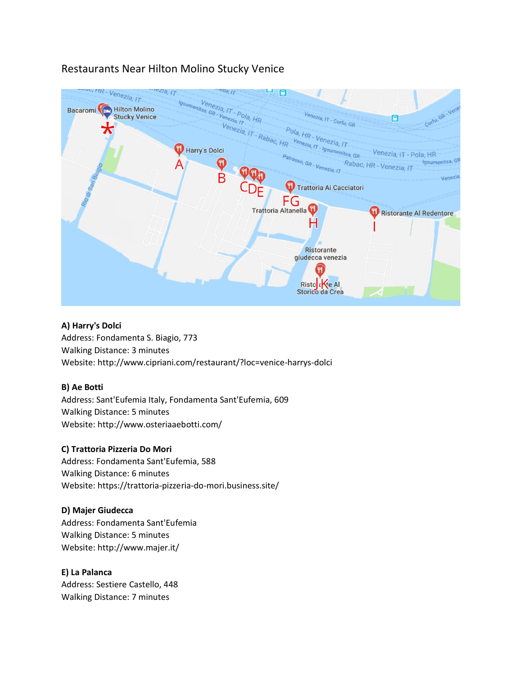# Restaurants Near Hilton Molino Stucky Venice



# **A) Harry's Dolci**

Address: Fondamenta S. Biagio, 773 Walking Distance: 3 minutes Website: http://www.cipriani.com/restaurant/?loc=venice-harrys-dolci

#### **B) Ae Botti**

Address: Sant'Eufemia Italy, Fondamenta Sant'Eufemia, 609 Walking Distance: 5 minutes Website: http://www.osteriaaebotti.com/

# **C) Trattoria Pizzeria Do Mori**

Address: Fondamenta Sant'Eufemia, 588 Walking Distance: 6 minutes Website: https://trattoria-pizzeria-do-mori.business.site/

# **D) Majer Giudecca**

Address: Fondamenta Sant'Eufemia Walking Distance: 5 minutes Website: http://www.majer.it/

# **E) La Palanca**

Address: Sestiere Castello, 448 Walking Distance: 7 minutes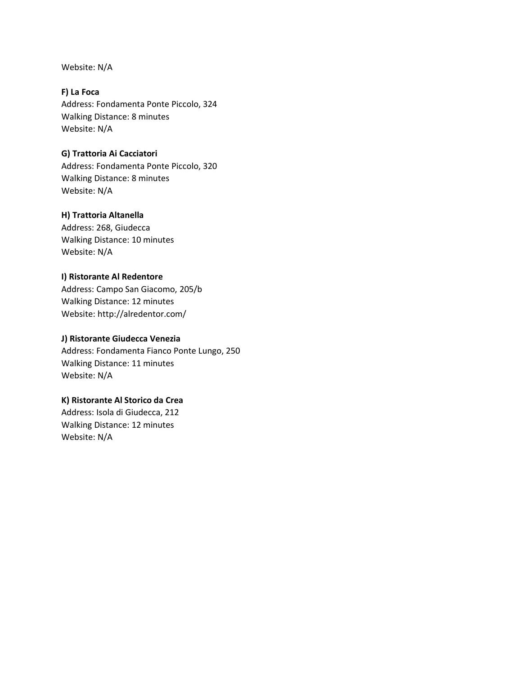Website: N/A

**F) La Foca** Address: Fondamenta Ponte Piccolo, 324 Walking Distance: 8 minutes Website: N/A

## **G) Trattoria Ai Cacciatori**

Address: Fondamenta Ponte Piccolo, 320 Walking Distance: 8 minutes Website: N/A

## **H) Trattoria Altanella**

Address: 268, Giudecca Walking Distance: 10 minutes Website: N/A

#### **I) Ristorante Al Redentore**

Address: Campo San Giacomo, 205/b Walking Distance: 12 minutes Website: http://alredentor.com/

## **J) Ristorante Giudecca Venezia**

Address: Fondamenta Fianco Ponte Lungo, 250 Walking Distance: 11 minutes Website: N/A

## **K) Ristorante Al Storico da Crea**

Address: Isola di Giudecca, 212 Walking Distance: 12 minutes Website: N/A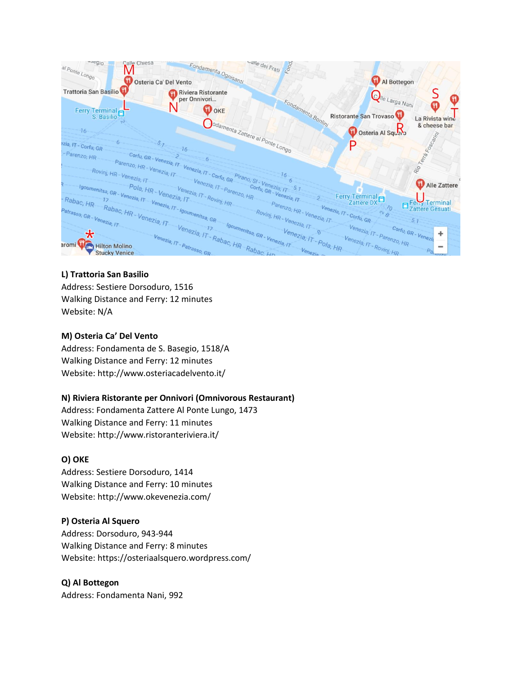

# **L) Trattoria San Basilio**

Address: Sestiere Dorsoduro, 1516 Walking Distance and Ferry: 12 minutes Website: N/A

# **M) Osteria Ca' Del Vento**

Address: Fondamenta de S. Basegio, 1518/A Walking Distance and Ferry: 12 minutes Website: http://www.osteriacadelvento.it/

# **N) Riviera Ristorante per Onnivori (Omnivorous Restaurant)**

Address: Fondamenta Zattere Al Ponte Lungo, 1473 Walking Distance and Ferry: 11 minutes Website: http://www.ristoranteriviera.it/

# **O) OKE**

Address: Sestiere Dorsoduro, 1414 Walking Distance and Ferry: 10 minutes Website: http://www.okevenezia.com/

# **P) Osteria Al Squero**

Address: Dorsoduro, 943-944 Walking Distance and Ferry: 8 minutes Website: https://osteriaalsquero.wordpress.com/

# **Q) Al Bottegon**

Address: Fondamenta Nani, 992